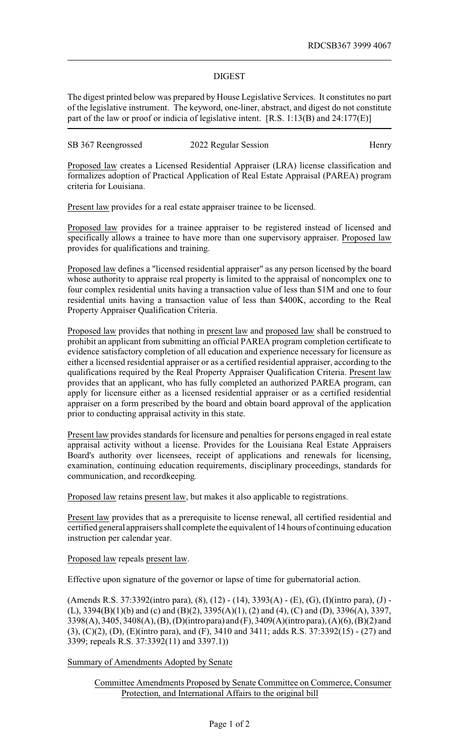## DIGEST

The digest printed below was prepared by House Legislative Services. It constitutes no part of the legislative instrument. The keyword, one-liner, abstract, and digest do not constitute part of the law or proof or indicia of legislative intent. [R.S. 1:13(B) and 24:177(E)]

SB 367 Reengrossed 2022 Regular Session Henry

Proposed law creates a Licensed Residential Appraiser (LRA) license classification and formalizes adoption of Practical Application of Real Estate Appraisal (PAREA) program criteria for Louisiana.

Present law provides for a real estate appraiser trainee to be licensed.

Proposed law provides for a trainee appraiser to be registered instead of licensed and specifically allows a trainee to have more than one supervisory appraiser. Proposed law provides for qualifications and training.

Proposed law defines a "licensed residential appraiser" as any person licensed by the board whose authority to appraise real property is limited to the appraisal of noncomplex one to four complex residential units having a transaction value of less than \$1M and one to four residential units having a transaction value of less than \$400K, according to the Real Property Appraiser Qualification Criteria.

Proposed law provides that nothing in present law and proposed law shall be construed to prohibit an applicant from submitting an official PAREA program completion certificate to evidence satisfactory completion of all education and experience necessary for licensure as either a licensed residential appraiser or as a certified residential appraiser, according to the qualifications required by the Real Property Appraiser Qualification Criteria. Present law provides that an applicant, who has fully completed an authorized PAREA program, can apply for licensure either as a licensed residential appraiser or as a certified residential appraiser on a form prescribed by the board and obtain board approval of the application prior to conducting appraisal activity in this state.

Present law provides standards for licensure and penalties for persons engaged in real estate appraisal activity without a license. Provides for the Louisiana Real Estate Appraisers Board's authority over licensees, receipt of applications and renewals for licensing, examination, continuing education requirements, disciplinary proceedings, standards for communication, and recordkeeping.

Proposed law retains present law, but makes it also applicable to registrations.

Present law provides that as a prerequisite to license renewal, all certified residential and certified general appraisers shall complete the equivalent of 14 hours of continuing education instruction per calendar year.

Proposed law repeals present law.

Effective upon signature of the governor or lapse of time for gubernatorial action.

(Amends R.S. 37:3392(intro para), (8), (12) - (14), 3393(A) - (E), (G), (I)(intro para), (J) - (L), 3394(B)(1)(b) and (c) and (B)(2), 3395(A)(1), (2) and (4), (C) and (D), 3396(A), 3397, 3398(A), 3405, 3408(A), (B), (D)(intro para) and (F), 3409(A)(intro para), (A)(6), (B)(2) and (3), (C)(2), (D), (E)(intro para), and (F), 3410 and 3411; adds R.S. 37:3392(15) - (27) and 3399; repeals R.S. 37:3392(11) and 3397.1))

Summary of Amendments Adopted by Senate

Committee Amendments Proposed by Senate Committee on Commerce, Consumer Protection, and International Affairs to the original bill